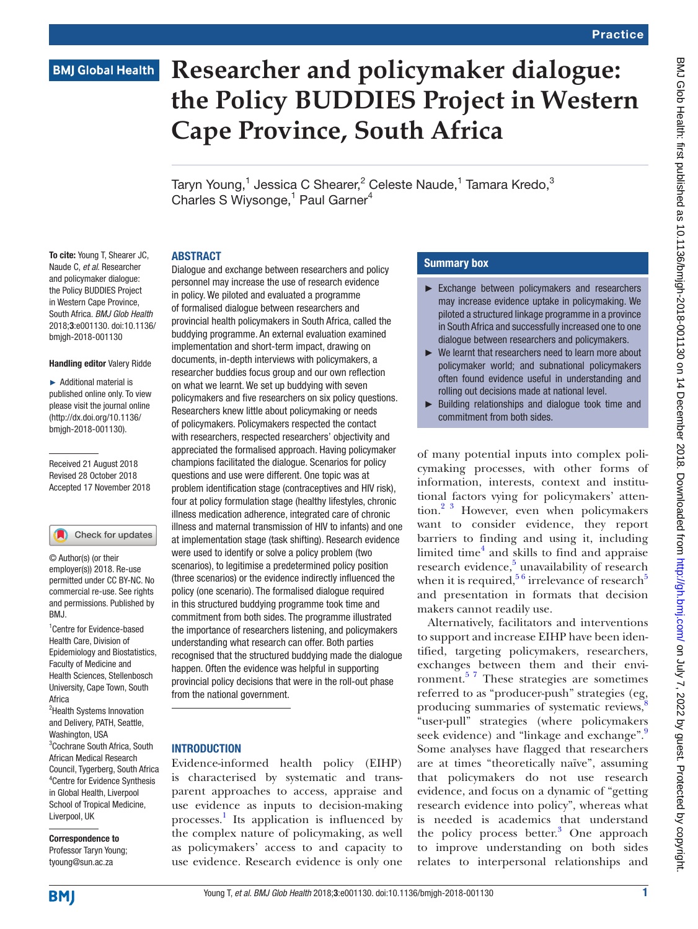# **BMJ Global Health**

# **Researcher and policymaker dialogue: the Policy BUDDIES Project in Western Cape Province, South Africa**

Taryn Young, $^1$  Jessica C Shearer, $^2$  Celeste Naude, $^1$  Tamara Kredo, $^3$ Charles S Wiysonge,<sup>1</sup> Paul Garner<sup>4</sup>

### **ABSTRACT**

To cite: Young T, Shearer JC, Naude C, *et al*. Researcher and policymaker dialogue: the Policy BUDDIES Project in Western Cape Province, South Africa. *BMJ Glob Health* 2018;3:e001130. doi:10.1136/ bmjgh-2018-001130

#### Handling editor Valery Ridde

► Additional material is published online only. To view please visit the journal online ([http://dx.doi.org/10.1136/](http://dx.doi.org/10.1136/bmjgh-2018-001130) [bmjgh-2018-001130\)](http://dx.doi.org/10.1136/bmjgh-2018-001130).

Received 21 August 2018 Revised 28 October 2018 Accepted 17 November 2018

#### Check for updates

© Author(s) (or their employer(s)) 2018. Re-use permitted under CC BY-NC. No commercial re-use. See rights and permissions. Published by BMJ.

1 Centre for Evidence-based Health Care, Division of Epidemiology and Biostatistics, Faculty of Medicine and Health Sciences, Stellenbosch University, Cape Town, South Africa

<sup>2</sup>Health Systems Innovation and Delivery, PATH, Seattle, Washington, USA 3 Cochrane South Africa, South African Medical Research Council, Tygerberg, South Africa

4 Centre for Evidence Synthesis in Global Health, Liverpool School of Tropical Medicine, Liverpool, UK

Correspondence to Professor Taryn Young; tyoung@sun.ac.za

Dialogue and exchange between researchers and policy personnel may increase the use of research evidence in policy. We piloted and evaluated a programme of formalised dialogue between researchers and provincial health policymakers in South Africa, called the buddying programme. An external evaluation examined implementation and short-term impact, drawing on documents, in-depth interviews with policymakers, a researcher buddies focus group and our own reflection on what we learnt. We set up buddying with seven policymakers and five researchers on six policy questions. Researchers knew little about policymaking or needs of policymakers. Policymakers respected the contact with researchers, respected researchers' objectivity and appreciated the formalised approach. Having policymaker champions facilitated the dialogue. Scenarios for policy questions and use were different. One topic was at problem identification stage (contraceptives and HIV risk), four at policy formulation stage (healthy lifestyles, chronic illness medication adherence, integrated care of chronic illness and maternal transmission of HIV to infants) and one at implementation stage (task shifting). Research evidence were used to identify or solve a policy problem (two scenarios), to legitimise a predetermined policy position (three scenarios) or the evidence indirectly influenced the policy (one scenario). The formalised dialogue required in this structured buddying programme took time and commitment from both sides. The programme illustrated the importance of researchers listening, and policymakers understanding what research can offer. Both parties recognised that the structured buddying made the dialogue happen. Often the evidence was helpful in supporting provincial policy decisions that were in the roll-out phase from the national government.

## **INTRODUCTION**

Evidence-informed health policy (EIHP) is characterised by systematic and transparent approaches to access, appraise and use evidence as inputs to decision-making processes. [1](#page-6-0) Its application is influenced by the complex nature of policymaking, as well as policymakers' access to and capacity to use evidence. Research evidence is only one

#### Summary box

- ► Exchange between policymakers and researchers may increase evidence uptake in policymaking. We piloted a structured linkage programme in a province in South Africa and successfully increased one to one dialogue between researchers and policymakers.
- ► We learnt that researchers need to learn more about policymaker world; and subnational policymakers often found evidence useful in understanding and rolling out decisions made at national level.
- ► Building relationships and dialogue took time and commitment from both sides.

of many potential inputs into complex policymaking processes, with other forms of information, interests, context and institutional factors vying for policymakers' attention.<sup>2 3</sup> However, even when policymakers want to consider evidence, they report barriers to finding and using it, including limited time<sup>4</sup> and skills to find and appraise research evidence,<sup>[5](#page-6-3)</sup> unavailability of research when it is required,  $56$  $56$  irrelevance of research<sup>5</sup> and presentation in formats that decision makers cannot readily use.

Alternatively, facilitators and interventions to support and increase EIHP have been identified, targeting policymakers, researchers, exchanges between them and their environment.[5 7](#page-6-3) These strategies are sometimes referred to as "producer-push" strategies (eg, producing summaries of systematic reviews,<sup>[8](#page-6-4)</sup> "user-pull" strategies (where policymakers seek evidence) and "linkage and exchange".<sup>[9](#page-6-5)</sup> Some analyses have flagged that researchers are at times "theoretically naïve", assuming that policymakers do not use research evidence, and focus on a dynamic of "getting research evidence into policy", whereas what is needed is academics that understand the policy process better.<sup>[3](#page-6-6)</sup> One approach to improve understanding on both sides relates to interpersonal relationships and

**BMJ**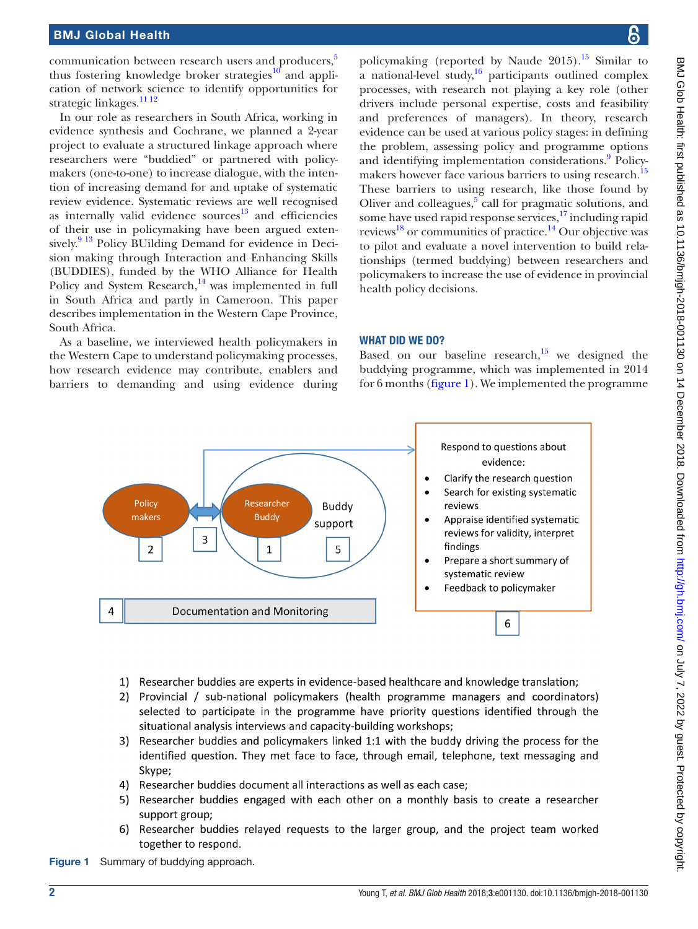BMJ Glob Health: first published as 10.1136/bmigh-2018-001130 on 14 December 2018. Downloaded from http://gh.bmj.com/ on July 7, 2022 by guest. Protected by copyright BMJ Glob Health: first published as 10.1136/bmjgh-2018-001130 on 14 December 2018. Downloaded from <http://gh.bmj.com/> on July 7, 2022 by guest. Protected by copyright

communication between research users and producers,<sup>[5](#page-6-3)</sup> thus fostering knowledge broker strategies<sup>[10](#page-6-7)</sup> and application of network science to identify opportunities for strategic linkages.<sup>11 12</sup>

In our role as researchers in South Africa, working in evidence synthesis and Cochrane, we planned a 2-year project to evaluate a structured linkage approach where researchers were "buddied" or partnered with policymakers (one-to-one) to increase dialogue, with the intention of increasing demand for and uptake of systematic review evidence. Systematic reviews are well recognised as internally valid evidence sources $13$  and efficiencies of their use in policymaking have been argued exten-sively.<sup>[9 13](#page-6-5)</sup> Policy BUilding Demand for evidence in Decision making through Interaction and Enhancing Skills (BUDDIES), funded by the WHO Alliance for Health Policy and System Research, $^{14}$  $^{14}$  $^{14}$  was implemented in full in South Africa and partly in Cameroon. This paper describes implementation in the Western Cape Province, South Africa.

As a baseline, we interviewed health policymakers in the Western Cape to understand policymaking processes, how research evidence may contribute, enablers and barriers to demanding and using evidence during

policymaking (reported by Naude  $2015$ ).<sup>15</sup> Similar to a national-level study, $\frac{16}{16}$  participants outlined complex processes, with research not playing a key role (other drivers include personal expertise, costs and feasibility and preferences of managers). In theory, research evidence can be used at various policy stages: in defining the problem, assessing policy and programme options and identifying implementation considerations.<sup>[9](#page-6-5)</sup> Policymakers however face various barriers to using research.<sup>15</sup> These barriers to using research, like those found by Oliver and colleagues,<sup>5</sup> call for pragmatic solutions, and some have used rapid response services, $^{17}$  including rapid reviews[18](#page-7-1) or communities of practice[.14](#page-6-10) Our objective was to pilot and evaluate a novel intervention to build relationships (termed buddying) between researchers and policymakers to increase the use of evidence in provincial health policy decisions.

#### WHAT DID WE DO?

Based on our baseline research, $15$  we designed the buddying programme, which was implemented in 2014 for 6 months ([figure](#page-1-0) 1). We implemented the programme



- 1) Researcher buddies are experts in evidence-based healthcare and knowledge translation;
- 2) Provincial / sub-national policymakers (health programme managers and coordinators) selected to participate in the programme have priority questions identified through the situational analysis interviews and capacity-building workshops;
- 3) Researcher buddies and policymakers linked 1:1 with the buddy driving the process for the identified question. They met face to face, through email, telephone, text messaging and Skype;
- 4) Researcher buddies document all interactions as well as each case;
- 5) Researcher buddies engaged with each other on a monthly basis to create a researcher support group;
- <span id="page-1-0"></span>Researcher buddies relayed requests to the larger group, and the project team worked 6) together to respond.

Figure 1 Summary of buddying approach.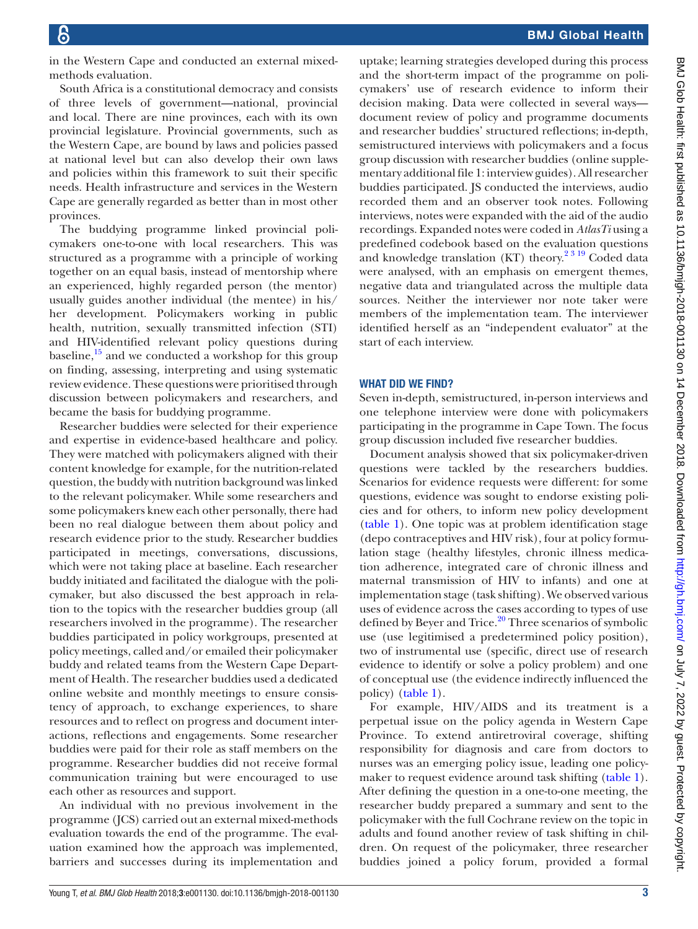in the Western Cape and conducted an external mixedmethods evaluation.

South Africa is a constitutional democracy and consists of three levels of government—national, provincial and local. There are nine provinces, each with its own provincial legislature. Provincial governments, such as the Western Cape, are bound by laws and policies passed at national level but can also develop their own laws and policies within this framework to suit their specific needs. Health infrastructure and services in the Western Cape are generally regarded as better than in most other provinces.

The buddying programme linked provincial policymakers one-to-one with local researchers. This was structured as a programme with a principle of working together on an equal basis, instead of mentorship where an experienced, highly regarded person (the mentor) usually guides another individual (the mentee) in his/ her development. Policymakers working in public health, nutrition, sexually transmitted infection (STI) and HIV-identified relevant policy questions during baseline, $\frac{15}{6}$  and we conducted a workshop for this group on finding, assessing, interpreting and using systematic review evidence. These questions were prioritised through discussion between policymakers and researchers, and became the basis for buddying programme.

Researcher buddies were selected for their experience and expertise in evidence-based healthcare and policy. They were matched with policymakers aligned with their content knowledge for example, for the nutrition-related question, the buddy with nutrition background was linked to the relevant policymaker. While some researchers and some policymakers knew each other personally, there had been no real dialogue between them about policy and research evidence prior to the study. Researcher buddies participated in meetings, conversations, discussions, which were not taking place at baseline. Each researcher buddy initiated and facilitated the dialogue with the policymaker, but also discussed the best approach in relation to the topics with the researcher buddies group (all researchers involved in the programme). The researcher buddies participated in policy workgroups, presented at policy meetings, called and/or emailed their policymaker buddy and related teams from the Western Cape Department of Health. The researcher buddies used a dedicated online website and monthly meetings to ensure consistency of approach, to exchange experiences, to share resources and to reflect on progress and document interactions, reflections and engagements. Some researcher buddies were paid for their role as staff members on the programme. Researcher buddies did not receive formal communication training but were encouraged to use each other as resources and support.

An individual with no previous involvement in the programme (JCS) carried out an external mixed-methods evaluation towards the end of the programme. The evaluation examined how the approach was implemented, barriers and successes during its implementation and

uptake; learning strategies developed during this process and the short-term impact of the programme on policymakers' use of research evidence to inform their decision making. Data were collected in several ways document review of policy and programme documents and researcher buddies' structured reflections; in-depth, semistructured interviews with policymakers and a focus group discussion with researcher buddies ([online supple](https://dx.doi.org/10.1136/bmjgh-2018-001130)[mentary additional file 1](https://dx.doi.org/10.1136/bmjgh-2018-001130): interview guides). All researcher buddies participated. JS conducted the interviews, audio recorded them and an observer took notes. Following interviews, notes were expanded with the aid of the audio recordings. Expanded notes were coded in *AtlasTi* using a predefined codebook based on the evaluation questions and knowledge translation (KT) theory.<sup>2 3 19</sup> Coded data were analysed, with an emphasis on emergent themes, negative data and triangulated across the multiple data sources. Neither the interviewer nor note taker were members of the implementation team. The interviewer identified herself as an "independent evaluator" at the start of each interview.

#### WHAT DID WE FIND?

Seven in-depth, semistructured, in-person interviews and one telephone interview were done with policymakers participating in the programme in Cape Town. The focus group discussion included five researcher buddies.

Document analysis showed that six policymaker-driven questions were tackled by the researchers buddies. Scenarios for evidence requests were different: for some questions, evidence was sought to endorse existing policies and for others, to inform new policy development [\(table](#page-3-0) 1). One topic was at problem identification stage (depo contraceptives and HIV risk), four at policy formulation stage (healthy lifestyles, chronic illness medication adherence, integrated care of chronic illness and maternal transmission of HIV to infants) and one at implementation stage (task shifting). We observed various uses of evidence across the cases according to types of use defined by Beyer and Trice.<sup>20</sup> Three scenarios of symbolic use (use legitimised a predetermined policy position), two of instrumental use (specific, direct use of research evidence to identify or solve a policy problem) and one of conceptual use (the evidence indirectly influenced the policy) [\(table](#page-3-0) 1).

For example, HIV/AIDS and its treatment is a perpetual issue on the policy agenda in Western Cape Province. To extend antiretroviral coverage, shifting responsibility for diagnosis and care from doctors to nurses was an emerging policy issue, leading one policy-maker to request evidence around task shifting [\(table](#page-3-0) 1). After defining the question in a one-to-one meeting, the researcher buddy prepared a summary and sent to the policymaker with the full Cochrane review on the topic in adults and found another review of task shifting in children. On request of the policymaker, three researcher buddies joined a policy forum, provided a formal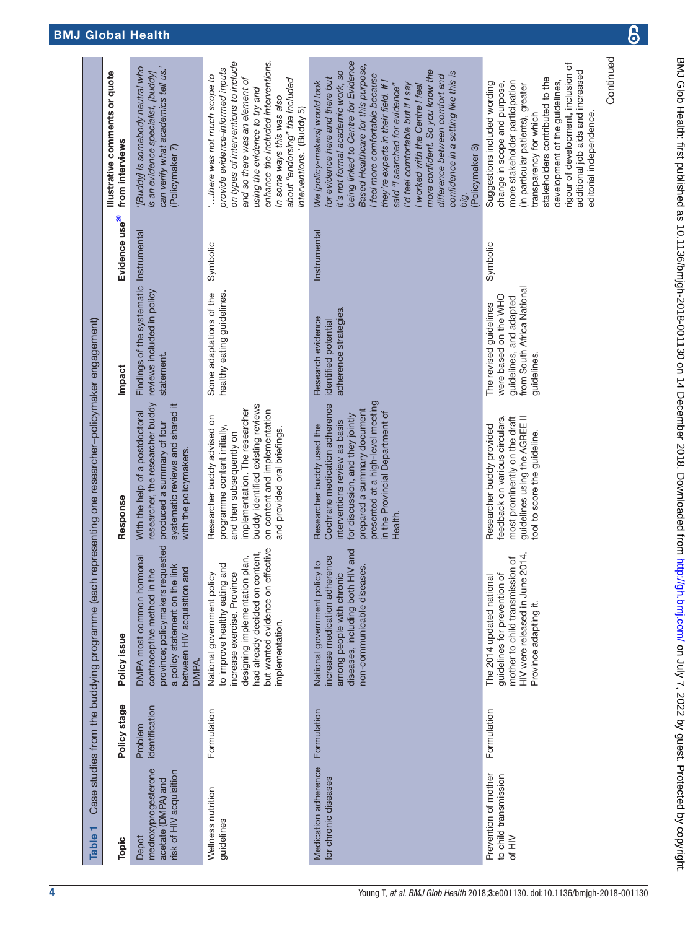<span id="page-3-0"></span>

| Table <sub>1</sub>                                                            |                           | Case studies from the buddying programme (each                                                                                                                                                                         | representing one researcher-policymaker engagement)                                                                                                                                                                                               |                                                                                                                         |                            |                                                                                                                                                                                                                                                                                                                                                                                                                                                                                                                 |
|-------------------------------------------------------------------------------|---------------------------|------------------------------------------------------------------------------------------------------------------------------------------------------------------------------------------------------------------------|---------------------------------------------------------------------------------------------------------------------------------------------------------------------------------------------------------------------------------------------------|-------------------------------------------------------------------------------------------------------------------------|----------------------------|-----------------------------------------------------------------------------------------------------------------------------------------------------------------------------------------------------------------------------------------------------------------------------------------------------------------------------------------------------------------------------------------------------------------------------------------------------------------------------------------------------------------|
| Topic                                                                         | Policy stage              | Policy issue                                                                                                                                                                                                           | Response                                                                                                                                                                                                                                          | Impact                                                                                                                  | Evidence use <sup>20</sup> | Illustrative comments or quote<br>from interviews                                                                                                                                                                                                                                                                                                                                                                                                                                                               |
| medroxyprogesterone<br>risk of HIV acquisition<br>acetate (DMPA) and<br>Depot | identification<br>Problem | province; policymakers requested<br>DMPA most common hormonal<br>a policy statement on the link<br>between HIV acquisition and<br>contraceptive method in the<br>DMPA.                                                 | researcher, the researcher buddy<br>systematic reviews and shared it<br>With the help of a postdoctoral<br>produced a summary of four<br>with the policymakers.                                                                                   | Findings of the systematic Instrumental<br>reviews included in policy<br>statement.                                     |                            | can verify what academics tell us.'<br>[Buddy] is somebody neutral who<br>is an evidence specialist, [buddy]<br>(Policymaker 7)                                                                                                                                                                                                                                                                                                                                                                                 |
| Wellness nutrition<br>guidelines                                              | Formulation               | but wanted evidence on effective<br>had already decided on content,<br>designing implementation plan,<br>to improve healthy eating and<br>increase exercise. Province<br>National government policy<br>implementation. | buddy identified existing reviews<br>implementation. The researcher<br>on content and implementation<br>Researcher buddy advised on<br>programme content initially,<br>and provided oral briefings.<br>and then subsequently on                   | healthy eating guidelines.<br>Some adaptations of the                                                                   | Symbolic                   | on types of interventions to include<br>enhance the included interventions.<br>provide evidence-informed inputs<br>"there was not much scope to<br>and so there was an element of<br>about "endorsing" the included<br>using the evidence to try and<br>In some ways this was also<br>interventions.' (Buddy 5)                                                                                                                                                                                                 |
| Medication adherence<br>for chronic diseases                                  | Formulation               | diseases, including both HIV and<br>increase medication adherence<br>National government policy to<br>non-communicable diseases.<br>among people with chronic                                                          | presented at a high-level meeting<br>Cochrane medication adherence<br>prepared a summary document<br>in the Provincial Department of<br>for discussion, and they jointly<br>interventions review as basis<br>Researcher buddy used the<br>Health. | adherence strategies.<br>Research evidence<br>identified potential                                                      | Instrumental               | being linked to Centre for Evidence<br>Based Healthcare for this purpose,<br>more confident. So you know the<br>confidence in a setting like this is<br>it's not formal academic work, so<br>I feel more comfortable because<br>difference between comfort and<br>for evidence here and there but<br>We [policy-makers] would look<br>they're experts in their field. If i<br>I'd feel comfortable but if I say<br>said "I searched for evidence"<br>I worked with the Centre I feel<br>(Policymaker 3)<br>big. |
| Prevention of mother<br>to child transmission<br>of HIV                       | Formulation               | 2014.<br>mother to child transmission of<br>guidelines for prevention of<br>The 2014 updated nationa<br>HIV were released in June<br>Province adapting it.                                                             | guidelines using the AGREE II<br>feedback on various circulars,<br>most prominently on the draft<br>Researcher buddy provided<br>tool to score the guideline.                                                                                     | from South Africa National<br>were based on the WHO<br>guidelines, and adapted<br>The revised guidelines<br>guidelines. | Symbolic                   | rigour of development, inclusion of<br>additional job aids and increased<br>stakeholders contributed to the<br>more stakeholder participation<br>development of the guidelines,<br>Suggestions included wording<br>change in scope and purpose,<br>(in particular patients), greater<br>editorial independence.<br>transparency for which                                                                                                                                                                       |
|                                                                               |                           |                                                                                                                                                                                                                        |                                                                                                                                                                                                                                                   |                                                                                                                         |                            | Continued                                                                                                                                                                                                                                                                                                                                                                                                                                                                                                       |

န္တ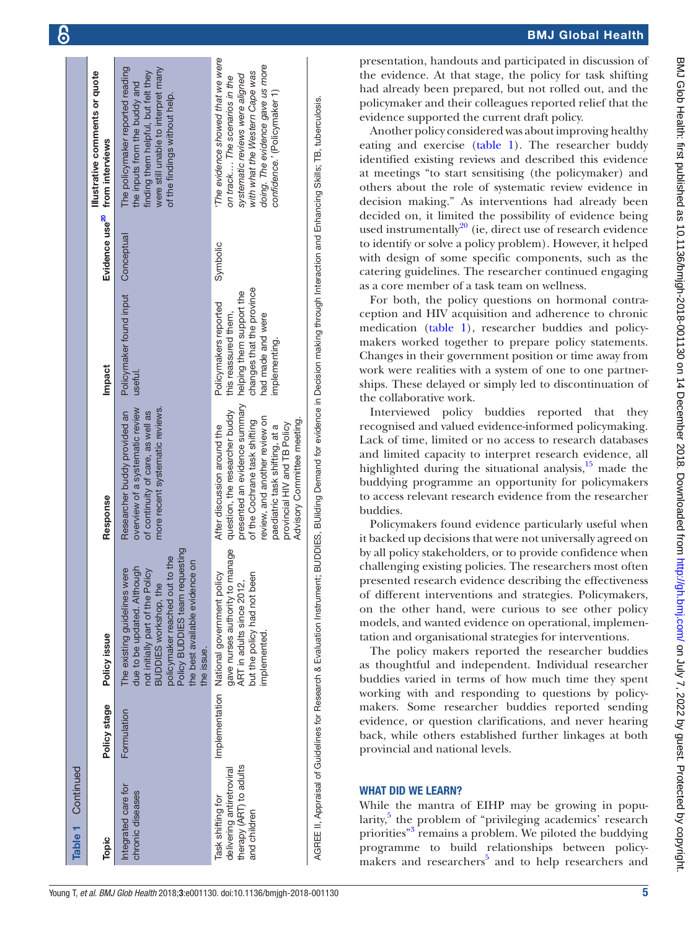| Table 1 Continued                                                                         |              |                                                                                                                                                                                                                                              |                                                                                                                                                                                                                                                                   |                                                                                                                                              |                                            |                                                                                                                                                                                                            |
|-------------------------------------------------------------------------------------------|--------------|----------------------------------------------------------------------------------------------------------------------------------------------------------------------------------------------------------------------------------------------|-------------------------------------------------------------------------------------------------------------------------------------------------------------------------------------------------------------------------------------------------------------------|----------------------------------------------------------------------------------------------------------------------------------------------|--------------------------------------------|------------------------------------------------------------------------------------------------------------------------------------------------------------------------------------------------------------|
| Topic                                                                                     | Policy stage | Policy issue                                                                                                                                                                                                                                 | Response                                                                                                                                                                                                                                                          | Impact                                                                                                                                       | Evidence use <sup>20</sup> from interviews | Illustrative comments or quote                                                                                                                                                                             |
| Integrated care for<br>chronic diseases                                                   | Formulation  | Policy BUDDIES team requesting<br>policymaker reached out to the<br>the best available evidence on<br>due to be updated. Although<br>The existing guidelines were<br>not initially part of the Policy<br>BUDDIES workshop, the<br>the issue. | overview of a systematic review<br>more recent systematic reviews.<br>Researcher buddy provided an<br>of continuity of care, as well as                                                                                                                           | Policymaker found input Conceptual<br>useful.                                                                                                |                                            | The policymaker reported reading<br>were still unable to interpret many<br>finding them helpful, but felt they<br>the inputs from the buddy and<br>of the findings without help.                           |
| therapy (ART) to adults<br>delivering antiretroviral<br>Task shifting for<br>and children |              | manage<br>but the policy had not been<br>Implementation National government policy<br>ART in adults since 2012,<br>gave nurses authority to<br>implemented.                                                                                  | presented an evidence summary<br>question, the researcher buddy<br>review, and another review on<br>Advisory Committee meeting.<br>of the Cochrane task shifting<br>provincial HIV and TB Policy<br>After discussion around the<br>paediatric task shifting, at a | changes that the province<br>helping them support the<br>Policymakers reported<br>this reassured them,<br>had made and were<br>implementing. | Symbolic                                   | The evidence showed that we were<br>doing. The evidence gave us more<br>with what the Western Cape was<br>systematic reviews were aligned<br>on track The scenarios in the<br>confidence.' (Policymaker 1) |
|                                                                                           |              | AGREE II, Appraisal of Guidelines for Research & Evaluation Instrument; BUDDIES, BUilding Demand for evidence in Decision making through Interaction and Enhancing Skills; TB, tuberculosis.                                                 |                                                                                                                                                                                                                                                                   |                                                                                                                                              |                                            |                                                                                                                                                                                                            |

presentation, handouts and participated in discussion of the evidence. At that stage, the policy for task shifting had already been prepared, but not rolled out, and the policymaker and their colleagues reported relief that the evidence supported the current draft policy.

Another policy considered was about improving healthy eating and exercise ([table](#page-3-0) 1). The researcher buddy identified existing reviews and described this evidence at meetings "to start sensitising (the policymaker) and others about the role of systematic review evidence in decision making." As interventions had already been decided on, it limited the possibility of evidence being used instrumentally $^{20}$  (ie, direct use of research evidence to identify or solve a policy problem). However, it helped with design of some specific components, such as the catering guidelines. The researcher continued engaging as a core member of a task team on wellness.

For both, the policy questions on hormonal contraception and HIV acquisition and adherence to chronic medication [\(table](#page-3-0) 1), researcher buddies and policymakers worked together to prepare policy statements. Changes in their government position or time away from work were realities with a system of one to one partnerships. These delayed or simply led to discontinuation of the collaborative work.

Interviewed policy buddies reported that they recognised and valued evidence-informed policymaking. Lack of time, limited or no access to research databases and limited capacity to interpret research evidence, all highlighted during the situational analysis, $\frac{15}{15}$  made the buddying programme an opportunity for policymakers to access relevant research evidence from the researcher buddies.

Policymakers found evidence particularly useful when it backed up decisions that were not universally agreed on by all policy stakeholders, or to provide confidence when challenging existing policies. The researchers most often presented research evidence describing the effectiveness of different interventions and strategies. Policymakers, on the other hand, were curious to see other policy models, and wanted evidence on operational, implemen tation and organisational strategies for interventions.

The policy makers reported the researcher buddies as thoughtful and independent. Individual researcher buddies varied in terms of how much time they spent working with and responding to questions by policymakers. Some researcher buddies reported sending evidence, or question clarifications, and never hearing back, while others established further linkages at both provincial and national levels.

#### WHAT DID WE LEARN?

While the mantra of EIHP may be growing in popu larity, [5](#page-6-3) the problem of "privileging academics' research priorities"<sup>[3](#page-6-6)</sup> remains a problem. We piloted the buddying programme to build relationships between policymakers and researchers<sup>5</sup> and to help researchers and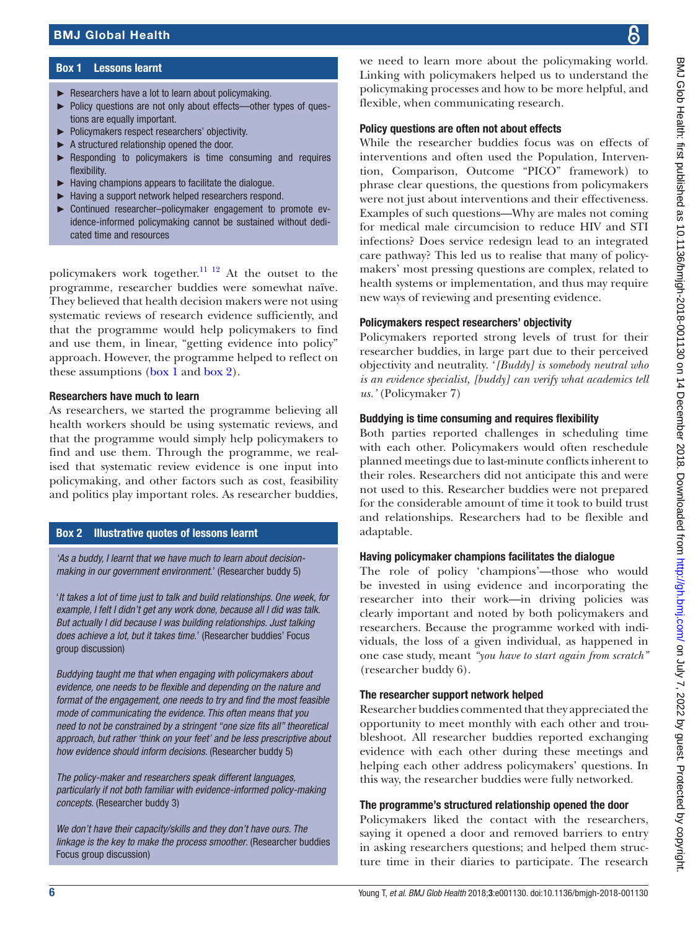#### Box 1 Lessons learnt

- <span id="page-5-0"></span>► Researchers have a lot to learn about policymaking.
- ► Policy questions are not only about effects—other types of questions are equally important.
- ► Policymakers respect researchers' objectivity.
- ► A structured relationship opened the door.
- ► Responding to policymakers is time consuming and requires flexibility.
- ► Having champions appears to facilitate the dialogue.
- ► Having a support network helped researchers respond.
- Continued researcher-policymaker engagement to promote evidence-informed policymaking cannot be sustained without dedicated time and resources

policymakers work together.<sup>11 12</sup> At the outset to the programme, researcher buddies were somewhat naïve. They believed that health decision makers were not using systematic reviews of research evidence sufficiently, and that the programme would help policymakers to find and use them, in linear, "getting evidence into policy" approach. However, the programme helped to reflect on these assumptions  $(box 1 and box 2)$  $(box 1 and box 2)$  $(box 1 and box 2)$ .

#### Researchers have much to learn

As researchers, we started the programme believing all health workers should be using systematic reviews, and that the programme would simply help policymakers to find and use them. Through the programme, we realised that systematic review evidence is one input into policymaking, and other factors such as cost, feasibility and politics play important roles. As researcher buddies,

#### Box 2 Illustrative quotes of lessons learnt

<span id="page-5-1"></span>*'As a buddy, I learnt that we have much to learn about decisionmaking in our government environment*.' (Researcher buddy 5)

'*It takes a lot of time just to talk and build relationships. One week, for example, I felt I didn't get any work done, because all I did was talk. But actually I did because I was building relationships. Just talking does achieve a lot, but it takes time*.' (Researcher buddies' Focus group discussion)

*Buddying taught me that when engaging with policymakers about evidence, one needs to be flexible and depending on the nature and format of the engagement, one needs to try and find the most feasible mode of communicating the evidence. This often means that you need to not be constrained by a stringent "one size fits all" theoretical approach, but rather 'think on your feet' and be less prescriptive about how evidence should inform decisions*. (Researcher buddy 5)

*The policy-maker and researchers speak different languages, particularly if not both familiar with evidence-informed policy-making concepts*. (Researcher buddy 3)

*We don't have their capacity/skills and they don't have ours. The linkage is the key to make the process smoother*. (Researcher buddies Focus group discussion)

we need to learn more about the policymaking world. Linking with policymakers helped us to understand the policymaking processes and how to be more helpful, and flexible, when communicating research.

#### Policy questions are often not about effects

While the researcher buddies focus was on effects of interventions and often used the Population, Intervention, Comparison, Outcome "PICO" framework) to phrase clear questions, the questions from policymakers were not just about interventions and their effectiveness. Examples of such questions—Why are males not coming for medical male circumcision to reduce HIV and STI infections? Does service redesign lead to an integrated care pathway? This led us to realise that many of policymakers' most pressing questions are complex, related to health systems or implementation, and thus may require new ways of reviewing and presenting evidence.

#### Policymakers respect researchers' objectivity

Policymakers reported strong levels of trust for their researcher buddies, in large part due to their perceived objectivity and neutrality. '*[Buddy] is somebody neutral who is an evidence specialist, [buddy] can verify what academics tell us.'* (Policymaker 7)

#### Buddying is time consuming and requires flexibility

Both parties reported challenges in scheduling time with each other. Policymakers would often reschedule planned meetings due to last-minute conflicts inherent to their roles. Researchers did not anticipate this and were not used to this. Researcher buddies were not prepared for the considerable amount of time it took to build trust and relationships. Researchers had to be flexible and adaptable.

#### Having policymaker champions facilitates the dialogue

The role of policy 'champions'—those who would be invested in using evidence and incorporating the researcher into their work—in driving policies was clearly important and noted by both policymakers and researchers. Because the programme worked with individuals, the loss of a given individual, as happened in one case study, meant *"you have to start again from scratch"* (researcher buddy 6).

#### The researcher support network helped

Researcher buddies commented that they appreciated the opportunity to meet monthly with each other and troubleshoot. All researcher buddies reported exchanging evidence with each other during these meetings and helping each other address policymakers' questions. In this way, the researcher buddies were fully networked.

#### The programme's structured relationship opened the door

Policymakers liked the contact with the researchers, saying it opened a door and removed barriers to entry in asking researchers questions; and helped them structure time in their diaries to participate. The research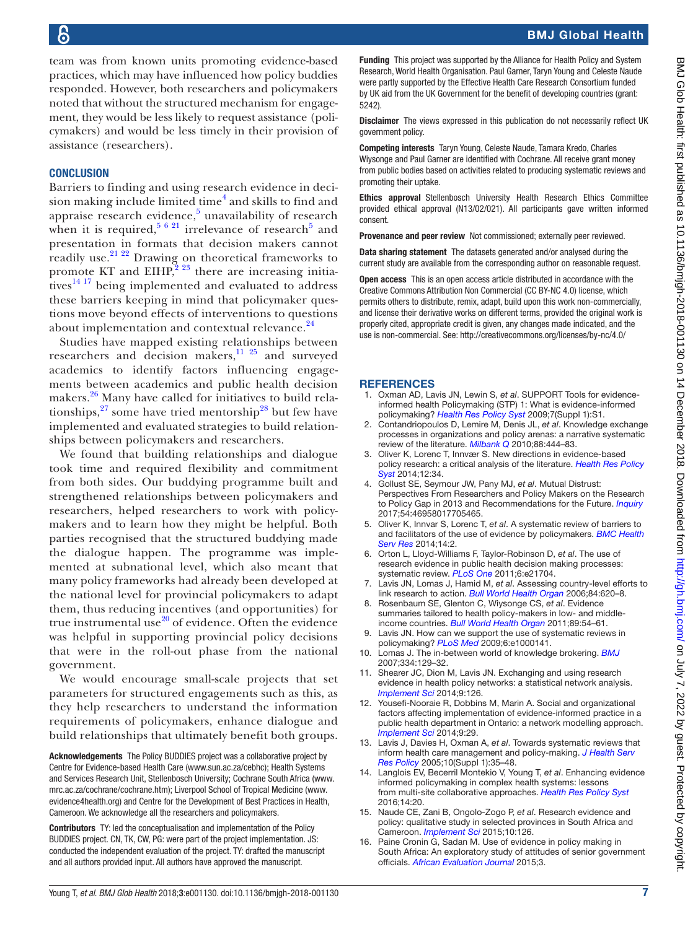team was from known units promoting evidence-based practices, which may have influenced how policy buddies responded. However, both researchers and policymakers noted that without the structured mechanism for engagement, they would be less likely to request assistance (policymakers) and would be less timely in their provision of assistance (researchers).

#### **CONCLUSION**

Barriers to finding and using research evidence in deci-sion making include limited time<sup>[4](#page-6-2)</sup> and skills to find and appraise research evidence,<sup>[5](#page-6-3)</sup> unavailability of research when it is required,<sup>[5](#page-6-3)621</sup> irrelevance of research<sup>5</sup> and presentation in formats that decision makers cannot readily use.<sup>21 22</sup> Drawing on theoretical frameworks to promote KT and EIHP, $^{2}$  <sup>23</sup> there are increasing initiatives $1417$  being implemented and evaluated to address these barriers keeping in mind that policymaker questions move beyond effects of interventions to questions about implementation and contextual relevance.<sup>[24](#page-7-4)</sup>

Studies have mapped existing relationships between researchers and decision makers, $\frac{11}{25}$  and surveyed academics to identify factors influencing engagements between academics and public health decision makers.<sup>26</sup> Many have called for initiatives to build relationships, $2^7$  some have tried mentorship<sup>[28](#page-7-7)</sup> but few have implemented and evaluated strategies to build relationships between policymakers and researchers.

We found that building relationships and dialogue took time and required flexibility and commitment from both sides. Our buddying programme built and strengthened relationships between policymakers and researchers, helped researchers to work with policymakers and to learn how they might be helpful. Both parties recognised that the structured buddying made the dialogue happen. The programme was implemented at subnational level, which also meant that many policy frameworks had already been developed at the national level for provincial policymakers to adapt them, thus reducing incentives (and opportunities) for true instrumental use $^{20}$  of evidence. Often the evidence was helpful in supporting provincial policy decisions that were in the roll-out phase from the national government.

We would encourage small-scale projects that set parameters for structured engagements such as this, as they help researchers to understand the information requirements of policymakers, enhance dialogue and build relationships that ultimately benefit both groups.

Acknowledgements The Policy BUDDIES project was a collaborative project by Centre for Evidence-based Health Care [\(www.sun.ac.za/cebhc\)](www.sun.ac.za/cebhc); Health Systems and Services Research Unit, Stellenbosch University; Cochrane South Africa [\(www.](www.mrc.ac.za/cochrane/cochrane.htm) [mrc.ac.za/cochrane/cochrane.htm](www.mrc.ac.za/cochrane/cochrane.htm)); Liverpool School of Tropical Medicine [\(www.](www.evidence4health.org) [evidence4health.org\)](www.evidence4health.org) and Centre for the Development of Best Practices in Health, Cameroon. We acknowledge all the researchers and policymakers.

Contributors TY: led the conceptualisation and implementation of the Policy BUDDIES project. CN, TK, CW, PG: were part of the project implementation. JS: conducted the independent evaluation of the project. TY: drafted the manuscript and all authors provided input. All authors have approved the manuscript.

Funding This project was supported by the Alliance for Health Policy and System Research, World Health Organisation. Paul Garner, Taryn Young and Celeste Naude were partly supported by the Effective Health Care Research Consortium funded by UK aid from the UK Government for the benefit of developing countries (grant: 5242).

Disclaimer The views expressed in this publication do not necessarily reflect UK government policy.

Competing interests Taryn Young, Celeste Naude, Tamara Kredo, Charles Wiysonge and Paul Garner are identified with Cochrane. All receive grant money from public bodies based on activities related to producing systematic reviews and promoting their uptake.

Ethics approval Stellenbosch University Health Research Ethics Committee provided ethical approval (N13/02/021). All participants gave written informed consent.

Provenance and peer review Not commissioned; externally peer reviewed.

Data sharing statement The datasets generated and/or analysed during the current study are available from the corresponding author on reasonable request.

Open access This is an open access article distributed in accordance with the Creative Commons Attribution Non Commercial (CC BY-NC 4.0) license, which permits others to distribute, remix, adapt, build upon this work non-commercially, and license their derivative works on different terms, provided the original work is properly cited, appropriate credit is given, any changes made indicated, and the use is non-commercial. See: <http://creativecommons.org/licenses/by-nc/4.0/>

#### **REFERENCES**

- <span id="page-6-0"></span>1. Oxman AD, Lavis JN, Lewin S, *et al*. SUPPORT Tools for evidenceinformed health Policymaking (STP) 1: What is evidence-informed policymaking? *[Health Res Policy Syst](http://dx.doi.org/10.1186/1478-4505-7-S1-S1)* 2009;7(Suppl 1):S1.
- <span id="page-6-1"></span>2. Contandriopoulos D, Lemire M, Denis JL, *et al*. Knowledge exchange processes in organizations and policy arenas: a narrative systematic review of the literature. *[Milbank Q](http://dx.doi.org/10.1111/j.1468-0009.2010.00608.x)* 2010;88:444–83.
- <span id="page-6-6"></span>3. Oliver K, Lorenc T, Innvær S. New directions in evidence-based policy research: a critical analysis of the literature. *[Health Res Policy](http://dx.doi.org/10.1186/1478-4505-12-34)  [Syst](http://dx.doi.org/10.1186/1478-4505-12-34)* 2014;12:34.
- <span id="page-6-2"></span>4. Gollust SE, Seymour JW, Pany MJ, *et al*. Mutual Distrust: Perspectives From Researchers and Policy Makers on the Research to Policy Gap in 2013 and Recommendations for the Future. *[Inquiry](http://dx.doi.org/10.1177/0046958017705465)* 2017;54:46958017705465.
- <span id="page-6-3"></span>5. Oliver K, Innvar S, Lorenc T, *et al*. A systematic review of barriers to and facilitators of the use of evidence by policymakers. *[BMC Health](http://dx.doi.org/10.1186/1472-6963-14-2)  [Serv Res](http://dx.doi.org/10.1186/1472-6963-14-2)* 2014;14:2.
- 6. Orton L, Lloyd-Williams F, Taylor-Robinson D, *et al*. The use of research evidence in public health decision making processes: systematic review. *[PLoS One](http://dx.doi.org/10.1371/journal.pone.0021704)* 2011;6:e21704.
- 7. Lavis JN, Lomas J, Hamid M, *et al*. Assessing country-level efforts to link research to action. *[Bull World Health Organ](http://dx.doi.org/10.2471/BLT.06.030312)* 2006;84:620–8.
- <span id="page-6-4"></span>8. Rosenbaum SE, Glenton C, Wiysonge CS, *et al*. Evidence summaries tailored to health policy-makers in low- and middleincome countries. *[Bull World Health Organ](http://dx.doi.org/10.2471/BLT.10.075481)* 2011;89:54–61.
- <span id="page-6-5"></span>9. Lavis JN. How can we support the use of systematic reviews in policymaking? *[PLoS Med](http://dx.doi.org/10.1371/journal.pmed.1000141)* 2009;6:e1000141.
- <span id="page-6-7"></span>10. Lomas J. The in-between world of knowledge brokering. *[BMJ](http://dx.doi.org/10.1136/bmj.39038.593380.AE)* 2007;334:129–32.
- <span id="page-6-8"></span>11. Shearer JC, Dion M, Lavis JN. Exchanging and using research evidence in health policy networks: a statistical network analysis. *[Implement Sci](http://dx.doi.org/10.1186/s13012-014-0126-8)* 2014;9:126.
- 12. Yousefi-Nooraie R, Dobbins M, Marin A. Social and organizational factors affecting implementation of evidence-informed practice in a public health department in Ontario: a network modelling approach. *[Implement Sci](http://dx.doi.org/10.1186/1748-5908-9-29)* 2014;9:29.
- <span id="page-6-9"></span>13. Lavis J, Davies H, Oxman A, *et al*. Towards systematic reviews that inform health care management and policy-making. *[J Health Serv](http://dx.doi.org/10.1258/1355819054308549)  [Res Policy](http://dx.doi.org/10.1258/1355819054308549)* 2005;10(Suppl 1):35–48.
- <span id="page-6-10"></span>14. Langlois EV, Becerril Montekio V, Young T, *et al*. Enhancing evidence informed policymaking in complex health systems: lessons from multi-site collaborative approaches. *[Health Res Policy Syst](http://dx.doi.org/10.1186/s12961-016-0089-0)* 2016;14:20.
- <span id="page-6-11"></span>15. Naude CE, Zani B, Ongolo-Zogo P, *et al*. Research evidence and policy: qualitative study in selected provinces in South Africa and Cameroon. *[Implement Sci](http://dx.doi.org/10.1186/s13012-015-0315-0)* 2015;10:126.
- <span id="page-6-12"></span>16. Paine Cronin G, Sadan M. Use of evidence in policy making in South Africa: An exploratory study of attitudes of senior government officials. *[African Evaluation Journal](http://dx.doi.org/10.4102/aej.v3i1.145)* 2015;3.